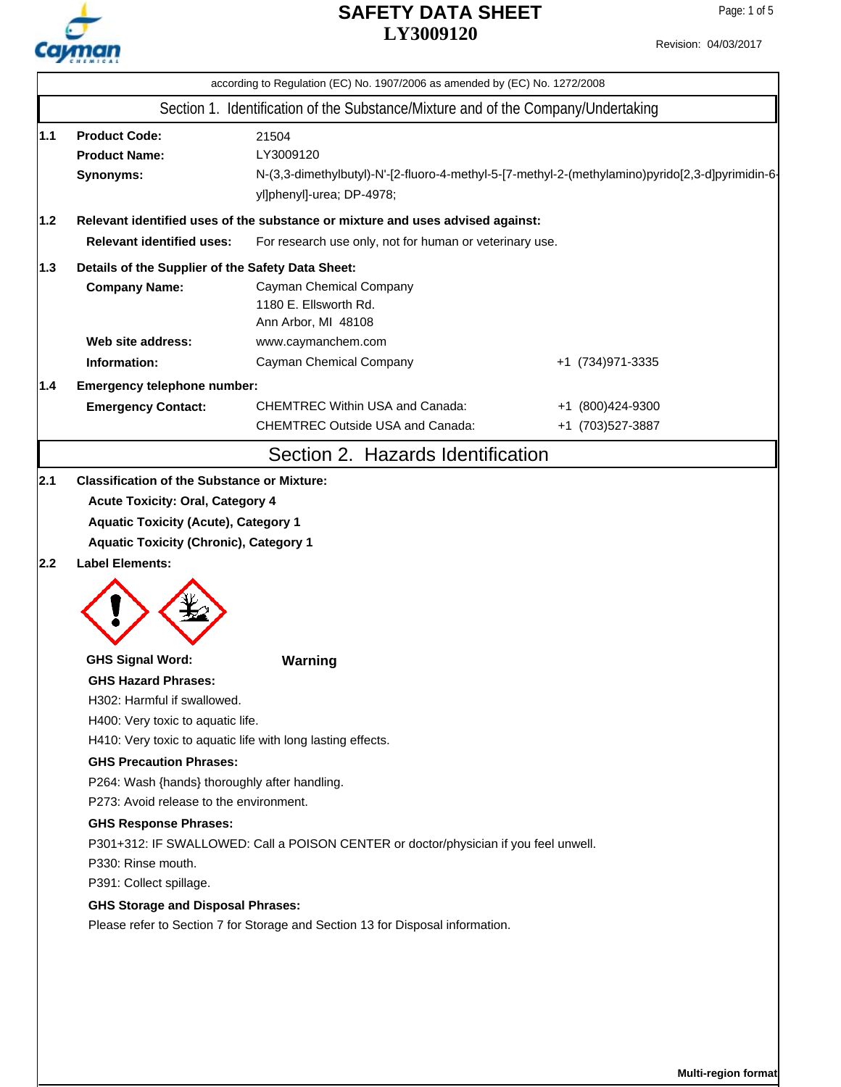

|     | according to Regulation (EC) No. 1907/2006 as amended by (EC) No. 1272/2008                                                                                                                                                                                                                                                                               |                                                                                                                                                     |                   |  |  |  |  |
|-----|-----------------------------------------------------------------------------------------------------------------------------------------------------------------------------------------------------------------------------------------------------------------------------------------------------------------------------------------------------------|-----------------------------------------------------------------------------------------------------------------------------------------------------|-------------------|--|--|--|--|
|     | Section 1. Identification of the Substance/Mixture and of the Company/Undertaking                                                                                                                                                                                                                                                                         |                                                                                                                                                     |                   |  |  |  |  |
| 1.1 | <b>Product Code:</b><br><b>Product Name:</b><br>Synonyms:                                                                                                                                                                                                                                                                                                 | 21504<br>LY3009120<br>N-(3,3-dimethylbutyl)-N'-[2-fluoro-4-methyl-5-[7-methyl-2-(methylamino)pyrido[2,3-d]pyrimidin-6-<br>yl]phenyl]-urea; DP-4978; |                   |  |  |  |  |
| 1.2 |                                                                                                                                                                                                                                                                                                                                                           | Relevant identified uses of the substance or mixture and uses advised against:                                                                      |                   |  |  |  |  |
|     | <b>Relevant identified uses:</b>                                                                                                                                                                                                                                                                                                                          | For research use only, not for human or veterinary use.                                                                                             |                   |  |  |  |  |
| 1.3 | Details of the Supplier of the Safety Data Sheet:                                                                                                                                                                                                                                                                                                         |                                                                                                                                                     |                   |  |  |  |  |
|     | <b>Company Name:</b>                                                                                                                                                                                                                                                                                                                                      | Cayman Chemical Company<br>1180 E. Ellsworth Rd.<br>Ann Arbor, MI 48108                                                                             |                   |  |  |  |  |
|     | Web site address:                                                                                                                                                                                                                                                                                                                                         | www.caymanchem.com                                                                                                                                  |                   |  |  |  |  |
|     | Information:                                                                                                                                                                                                                                                                                                                                              | Cayman Chemical Company                                                                                                                             | +1 (734) 971-3335 |  |  |  |  |
| 1.4 | Emergency telephone number:                                                                                                                                                                                                                                                                                                                               |                                                                                                                                                     |                   |  |  |  |  |
|     | <b>Emergency Contact:</b>                                                                                                                                                                                                                                                                                                                                 | <b>CHEMTREC Within USA and Canada:</b>                                                                                                              | +1 (800)424-9300  |  |  |  |  |
|     |                                                                                                                                                                                                                                                                                                                                                           | <b>CHEMTREC Outside USA and Canada:</b>                                                                                                             | +1 (703)527-3887  |  |  |  |  |
|     |                                                                                                                                                                                                                                                                                                                                                           | Section 2. Hazards Identification                                                                                                                   |                   |  |  |  |  |
| 2.2 | <b>Aquatic Toxicity (Chronic), Category 1</b><br><b>Label Elements:</b>                                                                                                                                                                                                                                                                                   |                                                                                                                                                     |                   |  |  |  |  |
|     | <b>GHS Signal Word:</b>                                                                                                                                                                                                                                                                                                                                   | Warning                                                                                                                                             |                   |  |  |  |  |
|     | <b>GHS Hazard Phrases:</b><br>H302: Harmful if swallowed.<br>H400: Very toxic to aquatic life.<br><b>GHS Precaution Phrases:</b><br>P264: Wash {hands} thoroughly after handling.<br>P273: Avoid release to the environment.<br><b>GHS Response Phrases:</b><br>P330: Rinse mouth.<br>P391: Collect spillage.<br><b>GHS Storage and Disposal Phrases:</b> | H410: Very toxic to aquatic life with long lasting effects.<br>P301+312: IF SWALLOWED: Call a POISON CENTER or doctor/physician if you feel unwell. |                   |  |  |  |  |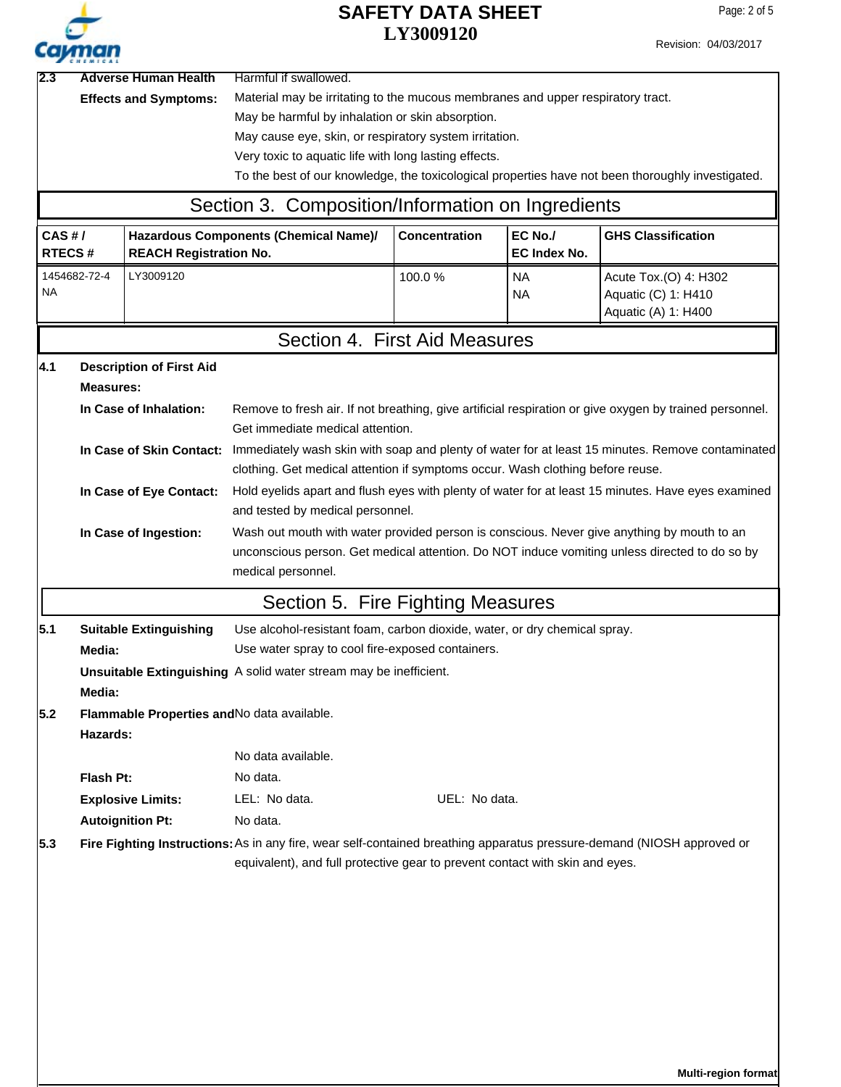| $\boldsymbol{\mu}$ |  |
|--------------------|--|

|     | <b>Address</b>                                             |                                 |                                                                                                                                                                                                             |                                                                                                    |                                |                                                                                                   |  |  |  |  |
|-----|------------------------------------------------------------|---------------------------------|-------------------------------------------------------------------------------------------------------------------------------------------------------------------------------------------------------------|----------------------------------------------------------------------------------------------------|--------------------------------|---------------------------------------------------------------------------------------------------|--|--|--|--|
| 2.3 |                                                            | <b>Adverse Human Health</b>     | Harmful if swallowed.                                                                                                                                                                                       |                                                                                                    |                                |                                                                                                   |  |  |  |  |
|     | <b>Effects and Symptoms:</b>                               |                                 | Material may be irritating to the mucous membranes and upper respiratory tract.<br>May be harmful by inhalation or skin absorption.                                                                         |                                                                                                    |                                |                                                                                                   |  |  |  |  |
|     |                                                            |                                 | May cause eye, skin, or respiratory system irritation.                                                                                                                                                      |                                                                                                    |                                |                                                                                                   |  |  |  |  |
|     |                                                            |                                 | Very toxic to aquatic life with long lasting effects.                                                                                                                                                       |                                                                                                    |                                |                                                                                                   |  |  |  |  |
|     |                                                            |                                 |                                                                                                                                                                                                             |                                                                                                    |                                | To the best of our knowledge, the toxicological properties have not been thoroughly investigated. |  |  |  |  |
|     |                                                            |                                 | Section 3. Composition/Information on Ingredients                                                                                                                                                           |                                                                                                    |                                |                                                                                                   |  |  |  |  |
|     |                                                            |                                 |                                                                                                                                                                                                             |                                                                                                    |                                |                                                                                                   |  |  |  |  |
|     | CAS H/<br><b>RTECS#</b><br><b>REACH Registration No.</b>   |                                 | Hazardous Components (Chemical Name)/                                                                                                                                                                       | <b>Concentration</b>                                                                               | EC No./<br><b>EC Index No.</b> | <b>GHS Classification</b>                                                                         |  |  |  |  |
| NA  | 1454682-72-4                                               | LY3009120                       |                                                                                                                                                                                                             | 100.0%                                                                                             | <b>NA</b><br><b>NA</b>         | Acute Tox.(O) 4: H302<br>Aquatic (C) 1: H410<br>Aquatic (A) 1: H400                               |  |  |  |  |
|     |                                                            |                                 |                                                                                                                                                                                                             | Section 4. First Aid Measures                                                                      |                                |                                                                                                   |  |  |  |  |
| 4.1 |                                                            | <b>Description of First Aid</b> |                                                                                                                                                                                                             |                                                                                                    |                                |                                                                                                   |  |  |  |  |
|     | <b>Measures:</b>                                           |                                 |                                                                                                                                                                                                             |                                                                                                    |                                |                                                                                                   |  |  |  |  |
|     |                                                            | In Case of Inhalation:          | Remove to fresh air. If not breathing, give artificial respiration or give oxygen by trained personnel.<br>Get immediate medical attention.                                                                 |                                                                                                    |                                |                                                                                                   |  |  |  |  |
|     |                                                            |                                 | In Case of Skin Contact: Immediately wash skin with soap and plenty of water for at least 15 minutes. Remove contaminated<br>clothing. Get medical attention if symptoms occur. Wash clothing before reuse. |                                                                                                    |                                |                                                                                                   |  |  |  |  |
|     |                                                            | In Case of Eye Contact:         |                                                                                                                                                                                                             | Hold eyelids apart and flush eyes with plenty of water for at least 15 minutes. Have eyes examined |                                |                                                                                                   |  |  |  |  |
|     |                                                            |                                 | and tested by medical personnel.                                                                                                                                                                            |                                                                                                    |                                |                                                                                                   |  |  |  |  |
|     |                                                            | In Case of Ingestion:           |                                                                                                                                                                                                             | Wash out mouth with water provided person is conscious. Never give anything by mouth to an         |                                |                                                                                                   |  |  |  |  |
|     |                                                            |                                 |                                                                                                                                                                                                             | unconscious person. Get medical attention. Do NOT induce vomiting unless directed to do so by      |                                |                                                                                                   |  |  |  |  |
|     |                                                            |                                 | medical personnel.                                                                                                                                                                                          |                                                                                                    |                                |                                                                                                   |  |  |  |  |
|     |                                                            |                                 | Section 5. Fire Fighting Measures                                                                                                                                                                           |                                                                                                    |                                |                                                                                                   |  |  |  |  |
| 5.1 |                                                            | <b>Suitable Extinguishing</b>   | Use alcohol-resistant foam, carbon dioxide, water, or dry chemical spray.                                                                                                                                   |                                                                                                    |                                |                                                                                                   |  |  |  |  |
|     | Use water spray to cool fire-exposed containers.<br>Media: |                                 |                                                                                                                                                                                                             |                                                                                                    |                                |                                                                                                   |  |  |  |  |
|     |                                                            |                                 | Unsuitable Extinguishing A solid water stream may be inefficient.                                                                                                                                           |                                                                                                    |                                |                                                                                                   |  |  |  |  |
|     | Media:                                                     |                                 |                                                                                                                                                                                                             |                                                                                                    |                                |                                                                                                   |  |  |  |  |
| 5.2 | Hazards:                                                   |                                 | Flammable Properties and No data available.                                                                                                                                                                 |                                                                                                    |                                |                                                                                                   |  |  |  |  |
|     |                                                            |                                 | No data available.                                                                                                                                                                                          |                                                                                                    |                                |                                                                                                   |  |  |  |  |
|     | Flash Pt:                                                  |                                 | No data.                                                                                                                                                                                                    |                                                                                                    |                                |                                                                                                   |  |  |  |  |
|     |                                                            | <b>Explosive Limits:</b>        | LEL: No data.                                                                                                                                                                                               | UEL: No data.                                                                                      |                                |                                                                                                   |  |  |  |  |
|     |                                                            | <b>Autoignition Pt:</b>         | No data.                                                                                                                                                                                                    |                                                                                                    |                                |                                                                                                   |  |  |  |  |
| 5.3 |                                                            |                                 | Fire Fighting Instructions: As in any fire, wear self-contained breathing apparatus pressure-demand (NIOSH approved or<br>equivalent), and full protective gear to prevent contact with skin and eyes.      |                                                                                                    |                                |                                                                                                   |  |  |  |  |
|     |                                                            |                                 |                                                                                                                                                                                                             |                                                                                                    |                                |                                                                                                   |  |  |  |  |
|     |                                                            |                                 |                                                                                                                                                                                                             |                                                                                                    |                                |                                                                                                   |  |  |  |  |
|     |                                                            |                                 |                                                                                                                                                                                                             |                                                                                                    |                                |                                                                                                   |  |  |  |  |
|     |                                                            |                                 |                                                                                                                                                                                                             |                                                                                                    |                                |                                                                                                   |  |  |  |  |
|     |                                                            |                                 |                                                                                                                                                                                                             |                                                                                                    |                                |                                                                                                   |  |  |  |  |
|     |                                                            |                                 |                                                                                                                                                                                                             |                                                                                                    |                                |                                                                                                   |  |  |  |  |
|     |                                                            |                                 |                                                                                                                                                                                                             |                                                                                                    |                                |                                                                                                   |  |  |  |  |
|     |                                                            |                                 |                                                                                                                                                                                                             |                                                                                                    |                                |                                                                                                   |  |  |  |  |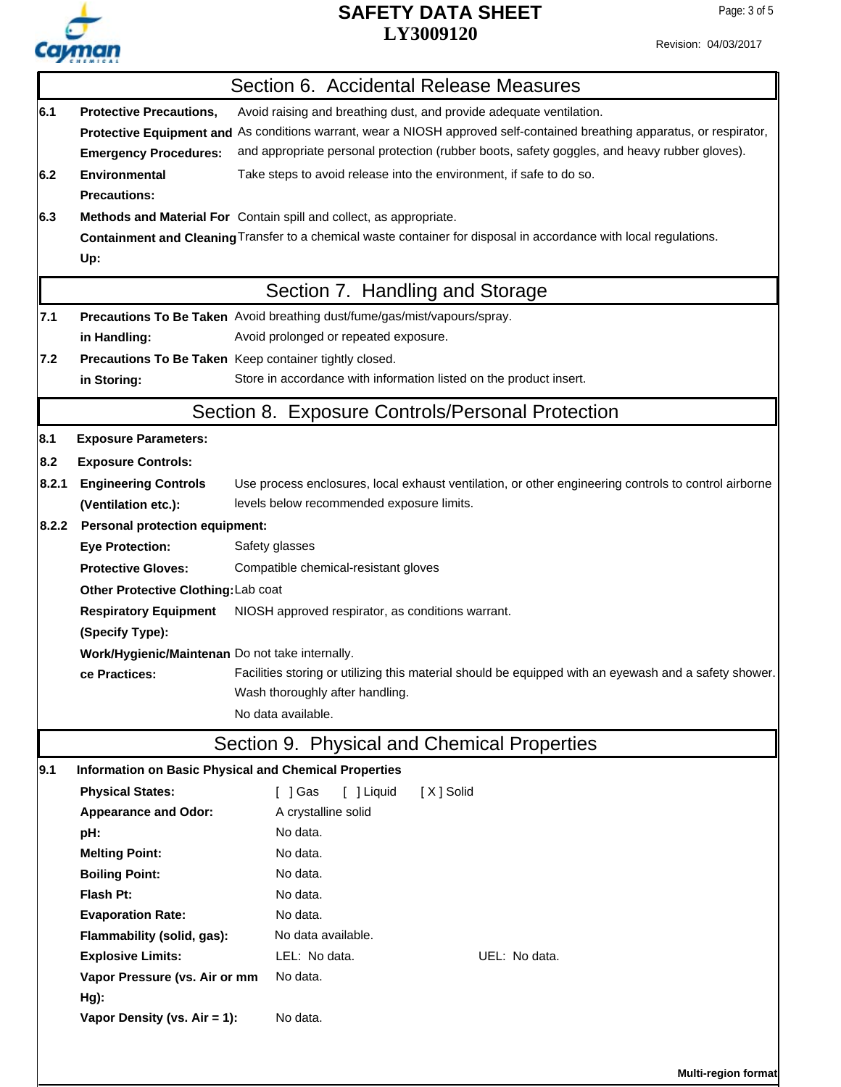

# **LY3009120 SAFETY DATA SHEET**

Revision: 04/03/2017

|       |                                                                                   | Section 6. Accidental Release Measures                                                                                   |  |  |  |  |
|-------|-----------------------------------------------------------------------------------|--------------------------------------------------------------------------------------------------------------------------|--|--|--|--|
| 6.1   | <b>Protective Precautions,</b>                                                    | Avoid raising and breathing dust, and provide adequate ventilation.                                                      |  |  |  |  |
|       |                                                                                   | Protective Equipment and As conditions warrant, wear a NIOSH approved self-contained breathing apparatus, or respirator, |  |  |  |  |
|       | <b>Emergency Procedures:</b>                                                      | and appropriate personal protection (rubber boots, safety goggles, and heavy rubber gloves).                             |  |  |  |  |
| 6.2   | <b>Environmental</b>                                                              | Take steps to avoid release into the environment, if safe to do so.                                                      |  |  |  |  |
|       | <b>Precautions:</b>                                                               |                                                                                                                          |  |  |  |  |
| 6.3   |                                                                                   | Methods and Material For Contain spill and collect, as appropriate.                                                      |  |  |  |  |
|       |                                                                                   | Containment and Cleaning Transfer to a chemical waste container for disposal in accordance with local regulations.       |  |  |  |  |
|       | Up:                                                                               |                                                                                                                          |  |  |  |  |
|       |                                                                                   | Section 7. Handling and Storage                                                                                          |  |  |  |  |
| 7.1   |                                                                                   | Precautions To Be Taken Avoid breathing dust/fume/gas/mist/vapours/spray.                                                |  |  |  |  |
|       | in Handling:                                                                      | Avoid prolonged or repeated exposure.                                                                                    |  |  |  |  |
| 7.2   |                                                                                   | Precautions To Be Taken Keep container tightly closed.                                                                   |  |  |  |  |
|       | in Storing:                                                                       | Store in accordance with information listed on the product insert.                                                       |  |  |  |  |
|       |                                                                                   | Section 8. Exposure Controls/Personal Protection                                                                         |  |  |  |  |
| 8.1   | <b>Exposure Parameters:</b>                                                       |                                                                                                                          |  |  |  |  |
| 8.2   | <b>Exposure Controls:</b>                                                         |                                                                                                                          |  |  |  |  |
| 8.2.1 | <b>Engineering Controls</b>                                                       | Use process enclosures, local exhaust ventilation, or other engineering controls to control airborne                     |  |  |  |  |
|       | (Ventilation etc.):                                                               | levels below recommended exposure limits.                                                                                |  |  |  |  |
| 8.2.2 | <b>Personal protection equipment:</b>                                             |                                                                                                                          |  |  |  |  |
|       | <b>Eye Protection:</b>                                                            | Safety glasses                                                                                                           |  |  |  |  |
|       | <b>Protective Gloves:</b>                                                         | Compatible chemical-resistant gloves                                                                                     |  |  |  |  |
|       | Other Protective Clothing: Lab coat                                               |                                                                                                                          |  |  |  |  |
|       | <b>Respiratory Equipment</b><br>NIOSH approved respirator, as conditions warrant. |                                                                                                                          |  |  |  |  |
|       | (Specify Type):                                                                   |                                                                                                                          |  |  |  |  |
|       | Work/Hygienic/Maintenan Do not take internally.                                   |                                                                                                                          |  |  |  |  |
|       | ce Practices:                                                                     | Facilities storing or utilizing this material should be equipped with an eyewash and a safety shower.                    |  |  |  |  |
|       |                                                                                   | Wash thoroughly after handling.                                                                                          |  |  |  |  |
|       |                                                                                   | No data available.                                                                                                       |  |  |  |  |
|       |                                                                                   | Section 9. Physical and Chemical Properties                                                                              |  |  |  |  |
| 9.1   |                                                                                   | Information on Basic Physical and Chemical Properties                                                                    |  |  |  |  |
|       | <b>Physical States:</b>                                                           | [ ] Gas<br>[ ] Liquid<br>[X] Solid                                                                                       |  |  |  |  |
|       | <b>Appearance and Odor:</b>                                                       | A crystalline solid                                                                                                      |  |  |  |  |
|       | pH:                                                                               | No data.                                                                                                                 |  |  |  |  |
|       | <b>Melting Point:</b>                                                             | No data.                                                                                                                 |  |  |  |  |
|       | <b>Boiling Point:</b>                                                             | No data.                                                                                                                 |  |  |  |  |
|       | Flash Pt:                                                                         | No data.                                                                                                                 |  |  |  |  |
|       | <b>Evaporation Rate:</b>                                                          | No data.                                                                                                                 |  |  |  |  |
|       | Flammability (solid, gas):                                                        | No data available.                                                                                                       |  |  |  |  |
|       | <b>Explosive Limits:</b>                                                          | LEL: No data.<br>UEL: No data.                                                                                           |  |  |  |  |
|       | Vapor Pressure (vs. Air or mm                                                     | No data.                                                                                                                 |  |  |  |  |
|       | Hg):                                                                              |                                                                                                                          |  |  |  |  |
|       | Vapor Density (vs. Air = 1):                                                      | No data.                                                                                                                 |  |  |  |  |
|       |                                                                                   |                                                                                                                          |  |  |  |  |
|       |                                                                                   | <b>Multi-region format</b>                                                                                               |  |  |  |  |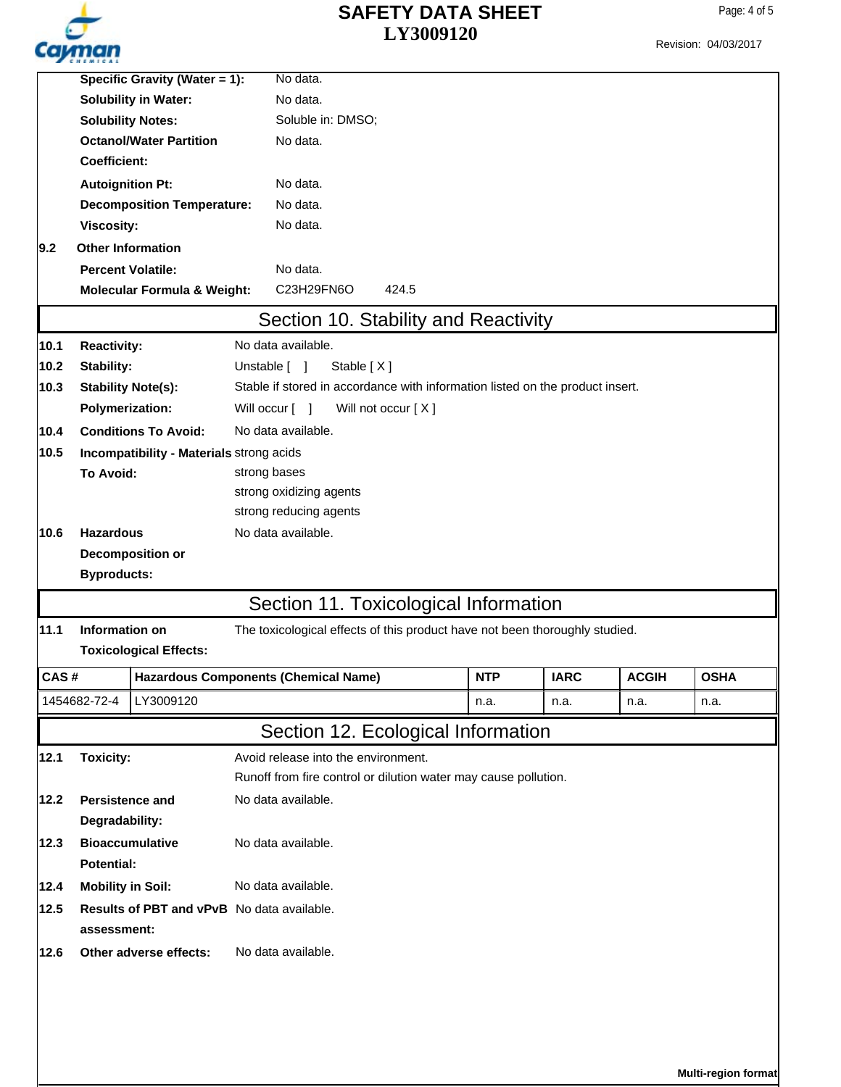

Revision: 04/03/2017

|                  | Specific Gravity (Water = 1):              |                                          | No data.                                                                      |          |            |             |              |             |  |  |
|------------------|--------------------------------------------|------------------------------------------|-------------------------------------------------------------------------------|----------|------------|-------------|--------------|-------------|--|--|
|                  | <b>Solubility in Water:</b>                |                                          |                                                                               | No data. |            |             |              |             |  |  |
|                  | <b>Solubility Notes:</b>                   |                                          | Soluble in: DMSO;                                                             |          |            |             |              |             |  |  |
|                  |                                            | <b>Octanol/Water Partition</b>           | No data.                                                                      |          |            |             |              |             |  |  |
|                  | Coefficient:                               |                                          |                                                                               |          |            |             |              |             |  |  |
|                  | <b>Autoignition Pt:</b>                    |                                          | No data.                                                                      |          |            |             |              |             |  |  |
|                  |                                            | <b>Decomposition Temperature:</b>        | No data.                                                                      |          |            |             |              |             |  |  |
|                  | Viscosity:                                 |                                          | No data.                                                                      |          |            |             |              |             |  |  |
| 9.2              | <b>Other Information</b>                   |                                          |                                                                               |          |            |             |              |             |  |  |
|                  | <b>Percent Volatile:</b>                   |                                          | No data.                                                                      |          |            |             |              |             |  |  |
|                  |                                            | <b>Molecular Formula &amp; Weight:</b>   | C23H29FN6O<br>424.5                                                           |          |            |             |              |             |  |  |
|                  |                                            |                                          | Section 10. Stability and Reactivity                                          |          |            |             |              |             |  |  |
| 10.1             | <b>Reactivity:</b>                         |                                          | No data available.                                                            |          |            |             |              |             |  |  |
| 10.2             | Stability:                                 |                                          | Stable [X]<br>Unstable [ ]                                                    |          |            |             |              |             |  |  |
| 10.3             | <b>Stability Note(s):</b>                  |                                          | Stable if stored in accordance with information listed on the product insert. |          |            |             |              |             |  |  |
|                  | <b>Polymerization:</b>                     |                                          | Will not occur [X]<br>Will occur [ ]                                          |          |            |             |              |             |  |  |
| 10.4             |                                            | <b>Conditions To Avoid:</b>              | No data available.                                                            |          |            |             |              |             |  |  |
| 10.5             |                                            | Incompatibility - Materials strong acids |                                                                               |          |            |             |              |             |  |  |
|                  | <b>To Avoid:</b>                           |                                          | strong bases                                                                  |          |            |             |              |             |  |  |
|                  |                                            |                                          | strong oxidizing agents                                                       |          |            |             |              |             |  |  |
|                  |                                            |                                          | strong reducing agents                                                        |          |            |             |              |             |  |  |
| 10.6             | <b>Hazardous</b>                           |                                          | No data available.                                                            |          |            |             |              |             |  |  |
| Decomposition or |                                            |                                          |                                                                               |          |            |             |              |             |  |  |
|                  | <b>Byproducts:</b>                         |                                          |                                                                               |          |            |             |              |             |  |  |
|                  |                                            |                                          | Section 11. Toxicological Information                                         |          |            |             |              |             |  |  |
| 11.1             | Information on                             |                                          | The toxicological effects of this product have not been thoroughly studied.   |          |            |             |              |             |  |  |
|                  |                                            | <b>Toxicological Effects:</b>            |                                                                               |          |            |             |              |             |  |  |
| <b>CAS#</b>      |                                            |                                          | <b>Hazardous Components (Chemical Name)</b>                                   |          | <b>NTP</b> | <b>IARC</b> | <b>ACGIH</b> | <b>OSHA</b> |  |  |
|                  | 1454682-72-4                               | LY3009120                                |                                                                               |          | n.a.       | n.a.        | n.a.         | n.a.        |  |  |
|                  |                                            |                                          | Section 12. Ecological Information                                            |          |            |             |              |             |  |  |
| 12.1             | <b>Toxicity:</b>                           |                                          | Avoid release into the environment.                                           |          |            |             |              |             |  |  |
|                  |                                            |                                          | Runoff from fire control or dilution water may cause pollution.               |          |            |             |              |             |  |  |
| 12.2             | <b>Persistence and</b>                     |                                          | No data available.                                                            |          |            |             |              |             |  |  |
|                  | Degradability:                             |                                          |                                                                               |          |            |             |              |             |  |  |
| 12.3             | <b>Bioaccumulative</b>                     |                                          | No data available.                                                            |          |            |             |              |             |  |  |
|                  | <b>Potential:</b>                          |                                          |                                                                               |          |            |             |              |             |  |  |
| 12.4             | <b>Mobility in Soil:</b>                   |                                          | No data available.                                                            |          |            |             |              |             |  |  |
| 12.5             | Results of PBT and vPvB No data available. |                                          |                                                                               |          |            |             |              |             |  |  |
|                  | assessment:                                |                                          |                                                                               |          |            |             |              |             |  |  |
| 12.6             | Other adverse effects:                     |                                          | No data available.                                                            |          |            |             |              |             |  |  |
|                  |                                            |                                          |                                                                               |          |            |             |              |             |  |  |
|                  |                                            |                                          |                                                                               |          |            |             |              |             |  |  |
|                  |                                            |                                          |                                                                               |          |            |             |              |             |  |  |
|                  |                                            |                                          |                                                                               |          |            |             |              |             |  |  |

**Multi-region format**